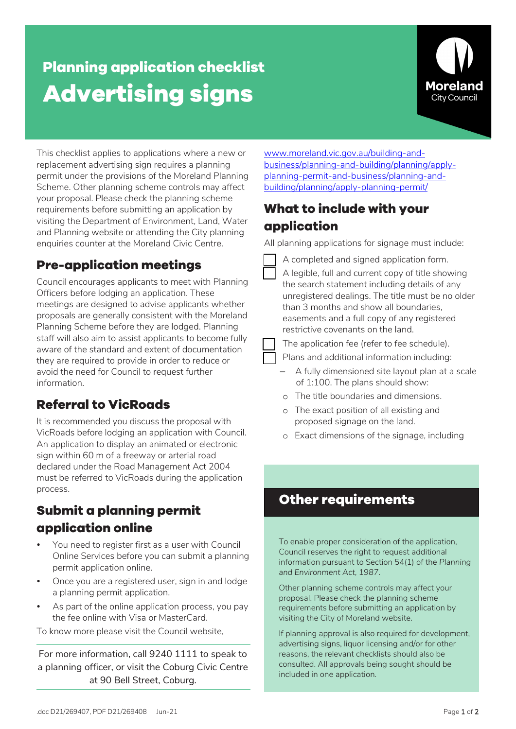# **Planning application checklist Advertising signs**



This checklist applies to applications where a new or replacement advertising sign requires a planning permit under the provisions of the Moreland Planning Scheme. Other planning scheme controls may affect your proposal. Please check the planning scheme requirements before submitting an application by visiting the Department of Environment, Land, Water and Planning website or attending the City planning enquiries counter at the Moreland Civic Centre.

# **Pre-application meetings**

Council encourages applicants to meet with Planning Officers before lodging an application. These meetings are designed to advise applicants whether proposals are generally consistent with the Moreland Planning Scheme before they are lodged. Planning staff will also aim to assist applicants to become fully aware of the standard and extent of documentation they are required to provide in order to reduce or avoid the need for Council to request further information.

## **Referral to VicRoads**

It is recommended you discuss the proposal with VicRoads before lodging an application with Council. An application to display an animated or electronic sign within 60 m of a freeway or arterial road declared under the Road Management Act 2004 must be referred to VicRoads during the application process.

# **Submit a planning permit application online**

- You need to register first as a user with Council Online Services before you can submit a planning permit application online.
- Once you are a registered user, sign in and lodge a planning permit application.
- As part of the online application process, you pay the fee online with Visa or MasterCard.

To know more please visit the Council website,

For more information, call 9240 1111 to speak to a planning officer, or visit the Coburg Civic Centre at 90 Bell Street, Coburg.

[www.moreland.vic.gov.au/building-and](https://www.moreland.vic.gov.au/building-and-business/planning-and-building/planning/apply-planning-permit/)[business/planning-and-building/planning/apply](https://www.moreland.vic.gov.au/building-and-business/planning-and-building/planning/apply-planning-permit/)[planning-permit-and-business/planning-and](https://www.moreland.vic.gov.au/building-and-business/planning-and-building/planning/apply-planning-permit/)[building/planning/apply-planning-permit/](https://www.moreland.vic.gov.au/building-and-business/planning-and-building/planning/apply-planning-permit/)

### **What to include with your application**

All planning applications for signage must include:

- A completed and signed application form.
- A legible, full and current copy of title showing the search statement including details of any unregistered dealings. The title must be no older than 3 months and show all boundaries, easements and a full copy of any registered restrictive covenants on the land.

The application fee (refer to fee schedule).

- Plans and additional information including:
- A fully dimensioned site layout plan at a scale of 1:100. The plans should show:
- o The title boundaries and dimensions.
- o The exact position of all existing and proposed signage on the land.
- o Exact dimensions of the signage, including

#### **Other requirements**

To enable proper consideration of the application, Council reserves the right to request additional information pursuant to Section 54(1) of the *Planning and Environment Act, 1987*.

Other planning scheme controls may affect your proposal. Please check the planning scheme requirements before submitting an application by visiting the City of Moreland website.

If planning approval is also required for development, advertising signs, liquor licensing and/or for other reasons, the relevant checklists should also be consulted. All approvals being sought should be included in one application.